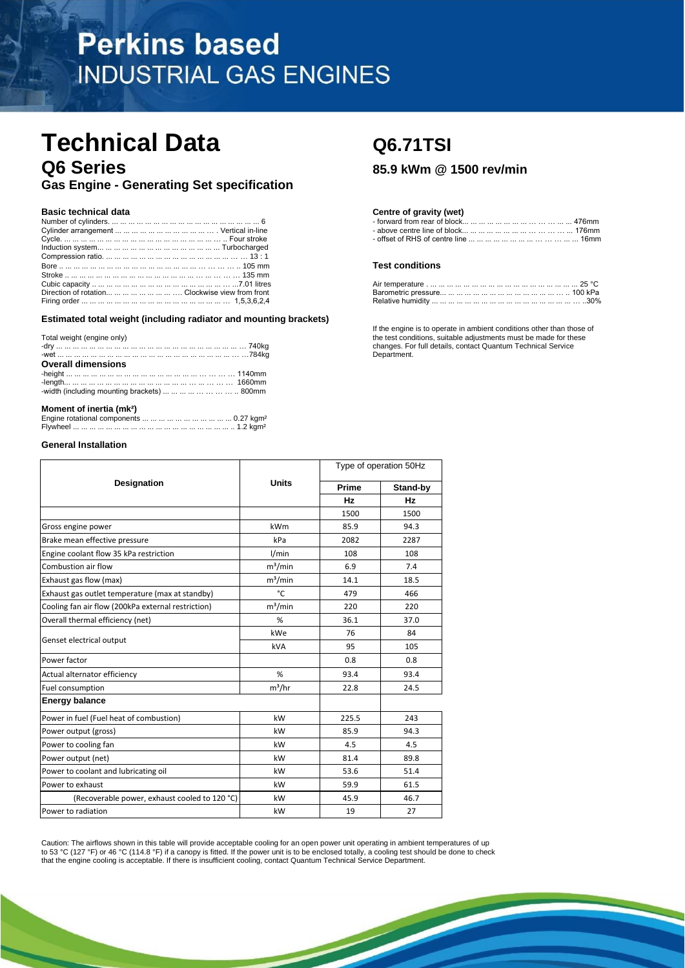# **Perkins based INDUSTRIAL GAS ENGINES**

# **Technical Data** Q6.71TSI **Q6 Series 85.9 kWm @ 1500 rev/min**

**Gas Engine - Generating Set specification** 

|                                                        | <b>Test conditions</b> |
|--------------------------------------------------------|------------------------|
|                                                        |                        |
|                                                        |                        |
| Direction of rotation        Clockwise view from front |                        |
|                                                        |                        |

**Estimated total weight (including radiator and mounting brackets)**

| Total weight (engine only)                          |  |
|-----------------------------------------------------|--|
|                                                     |  |
| <b>Overall dimensions</b>                           |  |
|                                                     |  |
|                                                     |  |
| -width (including mounting brackets)          800mm |  |
|                                                     |  |

# **Moment of inertia (mk²)**

## **General Installation**

|                                                    | <b>Units</b> | Type of operation 50Hz |           |  |
|----------------------------------------------------|--------------|------------------------|-----------|--|
| <b>Designation</b>                                 |              | Prime                  | Stand-by  |  |
|                                                    |              | <b>Hz</b>              | <b>Hz</b> |  |
|                                                    |              | 1500                   | 1500      |  |
| Gross engine power                                 | kWm          | 85.9                   | 94.3      |  |
| Brake mean effective pressure                      | kPa          | 2082                   | 2287      |  |
| Engine coolant flow 35 kPa restriction             | 1/min        | 108                    | 108       |  |
| Combustion air flow                                | $m^3/m$ in   | 6.9                    | 7.4       |  |
| Exhaust gas flow (max)                             | $m^3/m$ in   | 14.1                   | 18.5      |  |
| Exhaust gas outlet temperature (max at standby)    | °C           | 479                    | 466       |  |
| Cooling fan air flow (200kPa external restriction) | $m^3/m$ in   | 220                    | 220       |  |
| Overall thermal efficiency (net)                   | %            | 36.1                   | 37.0      |  |
|                                                    | kWe          | 76                     | 84        |  |
| Genset electrical output                           | kVA          | 95                     | 105       |  |
| Power factor                                       |              | 0.8                    | 0.8       |  |
| Actual alternator efficiency                       | %            | 93.4                   | 93.4      |  |
| Fuel consumption                                   | $m^3/hr$     | 22.8                   | 24.5      |  |
| <b>Energy balance</b>                              |              |                        |           |  |
| Power in fuel (Fuel heat of combustion)            | kW           | 225.5                  | 243       |  |
| Power output (gross)                               | kW           | 85.9                   | 94.3      |  |
| Power to cooling fan                               | kW           | 4.5                    | 4.5       |  |
| Power output (net)                                 | kW           | 81.4                   | 89.8      |  |
| Power to coolant and lubricating oil               | kW           | 53.6                   | 51.4      |  |
| Power to exhaust                                   | kW           | 59.9                   | 61.5      |  |
| (Recoverable power, exhaust cooled to 120 °C)      | kW           | 45.9                   | 46.7      |  |
| Power to radiation                                 | kW           | 19                     | 27        |  |

Caution: The airflows shown in this table will provide acceptable cooling for an open power unit operating in ambient temperatures of up to 53 °C (127 °F) or 46 °C (114.8 °F) if a canopy is fitted. If the power unit is to be enclosed totally, a cooling test should be done to check that the engine cooling is acceptable. If there is insufficient cooling, contact Quantum Technical Service Department.

## **Basic technical data Centre of gravity (wet) Centre of gravity (wet)**

| Number<br>t cylinders.<br>  | and trom rear of block<br>omm      |
|-----------------------------|------------------------------------|
| Cvlinder arrangement        | above centre line of block<br>70MM |
| Cvcle.<br><b>FOUL SILOR</b> | 16mm                               |

## **Test conditions**

| Cubic capacity        |                                    |                                                                                                       |  |
|-----------------------|------------------------------------|-------------------------------------------------------------------------------------------------------|--|
| Direction of rotation | n        Clockwise view from front | <b>Prometric pressure</b><br>ka kacamatan ing kabupatèn Jawa di Luar di Luar di Luar di Luar di Luar. |  |
| Firina orde.          |                                    | ™imidity                                                                                              |  |

If the engine is to operate in ambient conditions other than those of the test conditions, suitable adjustments must be made for these changes. For full details, contact Quantum Technical Service Department.